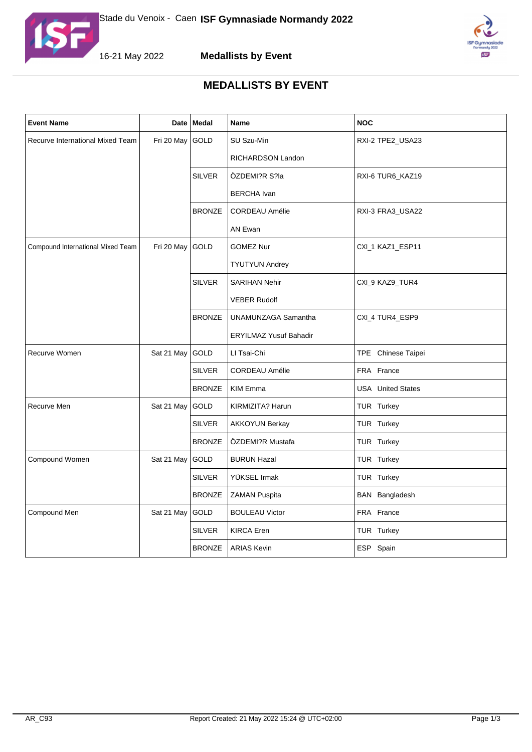



**Medallists by Event**



## **MEDALLISTS BY EVENT**

| <b>Event Name</b>                 |            | Date   Medal  | Name                          | <b>NOC</b>               |
|-----------------------------------|------------|---------------|-------------------------------|--------------------------|
| Recurve International Mixed Team  | Fri 20 May | GOLD          | SU Szu-Min                    | RXI-2 TPE2_USA23         |
|                                   |            |               | RICHARDSON Landon             |                          |
|                                   |            | <b>SILVER</b> | ÖZDEMI?R S?la                 | RXI-6 TUR6_KAZ19         |
|                                   |            |               | <b>BERCHA</b> Ivan            |                          |
|                                   |            | <b>BRONZE</b> | <b>CORDEAU Amélie</b>         | RXI-3 FRA3_USA22         |
|                                   |            |               | AN Ewan                       |                          |
| Compound International Mixed Team | Fri 20 May | GOLD          | <b>GOMEZ Nur</b>              | CXI_1 KAZ1_ESP11         |
|                                   |            |               | <b>TYUTYUN Andrey</b>         |                          |
|                                   |            | <b>SILVER</b> | <b>SARIHAN Nehir</b>          | CXI_9 KAZ9_TUR4          |
|                                   |            |               | <b>VEBER Rudolf</b>           |                          |
|                                   |            | <b>BRONZE</b> | UNAMUNZAGA Samantha           | CXI_4 TUR4_ESP9          |
|                                   |            |               | <b>ERYILMAZ Yusuf Bahadir</b> |                          |
| Recurve Women                     | Sat 21 May | GOLD          | LI Tsai-Chi                   | TPE Chinese Taipei       |
|                                   |            | <b>SILVER</b> | <b>CORDEAU Amélie</b>         | FRA France               |
|                                   |            | <b>BRONZE</b> | <b>KIM Emma</b>               | <b>USA</b> United States |
| Recurve Men                       | Sat 21 May | GOLD          | KIRMIZITA? Harun              | TUR Turkey               |
|                                   |            | <b>SILVER</b> | <b>AKKOYUN Berkay</b>         | TUR Turkey               |
|                                   |            | <b>BRONZE</b> | ÖZDEMI?R Mustafa              | TUR Turkey               |
| Compound Women                    | Sat 21 May | GOLD          | <b>BURUN Hazal</b>            | TUR Turkey               |
|                                   |            | <b>SILVER</b> | YÜKSEL Irmak                  | TUR Turkey               |
|                                   |            | <b>BRONZE</b> | ZAMAN Puspita                 | BAN Bangladesh           |
| Compound Men                      | Sat 21 May | GOLD          | <b>BOULEAU Victor</b>         | FRA France               |
|                                   |            | <b>SILVER</b> | <b>KIRCA Eren</b>             | TUR Turkey               |
|                                   |            | <b>BRONZE</b> | <b>ARIAS Kevin</b>            | ESP Spain                |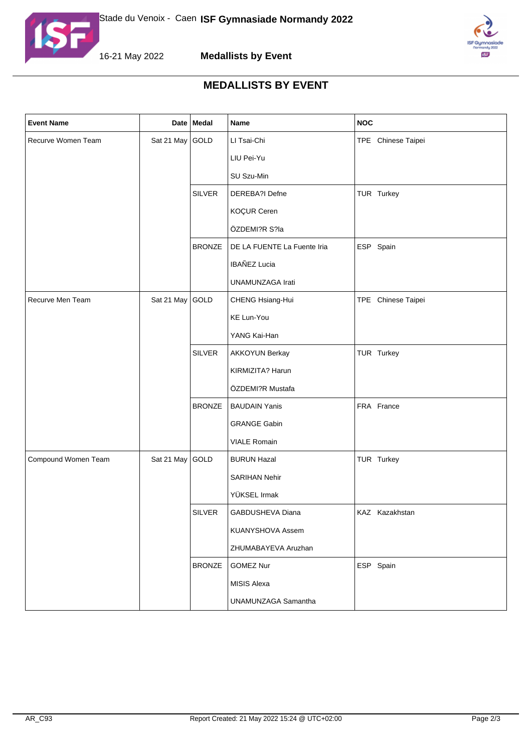



16-21 May 2022



## **MEDALLISTS BY EVENT**

| <b>Event Name</b>   |                 | Date Medal    | Name                        | <b>NOC</b>         |
|---------------------|-----------------|---------------|-----------------------------|--------------------|
| Recurve Women Team  | Sat 21 May GOLD |               | LI Tsai-Chi                 | TPE Chinese Taipei |
|                     |                 |               | LIU Pei-Yu                  |                    |
|                     |                 |               | SU Szu-Min                  |                    |
|                     |                 | <b>SILVER</b> | DEREBA?I Defne              | TUR Turkey         |
|                     |                 |               | KOÇUR Ceren                 |                    |
|                     |                 |               | ÖZDEMI?R S?la               |                    |
|                     |                 | <b>BRONZE</b> | DE LA FUENTE La Fuente Iria | ESP Spain          |
|                     |                 |               | IBAÑEZ Lucia                |                    |
|                     |                 |               | UNAMUNZAGA Irati            |                    |
| Recurve Men Team    | Sat 21 May GOLD |               | CHENG Hsiang-Hui            | TPE Chinese Taipei |
|                     |                 |               | KE Lun-You                  |                    |
|                     |                 |               | YANG Kai-Han                |                    |
|                     |                 | <b>SILVER</b> | <b>AKKOYUN Berkay</b>       | TUR Turkey         |
|                     |                 |               | KIRMIZITA? Harun            |                    |
|                     |                 |               | ÖZDEMI?R Mustafa            |                    |
|                     |                 | <b>BRONZE</b> | <b>BAUDAIN Yanis</b>        | FRA France         |
|                     |                 |               | <b>GRANGE Gabin</b>         |                    |
|                     |                 |               | <b>VIALE Romain</b>         |                    |
| Compound Women Team | Sat 21 May GOLD |               | <b>BURUN Hazal</b>          | TUR Turkey         |
|                     |                 |               | SARIHAN Nehir               |                    |
|                     |                 |               | YÜKSEL Irmak                |                    |
|                     |                 | <b>SILVER</b> | GABDUSHEVA Diana            | KAZ Kazakhstan     |
|                     |                 |               | <b>KUANYSHOVA Assem</b>     |                    |
|                     |                 |               | ZHUMABAYEVA Aruzhan         |                    |
|                     |                 | <b>BRONZE</b> | <b>GOMEZ Nur</b>            | ESP Spain          |
|                     |                 |               | <b>MISIS Alexa</b>          |                    |
|                     |                 |               | UNAMUNZAGA Samantha         |                    |